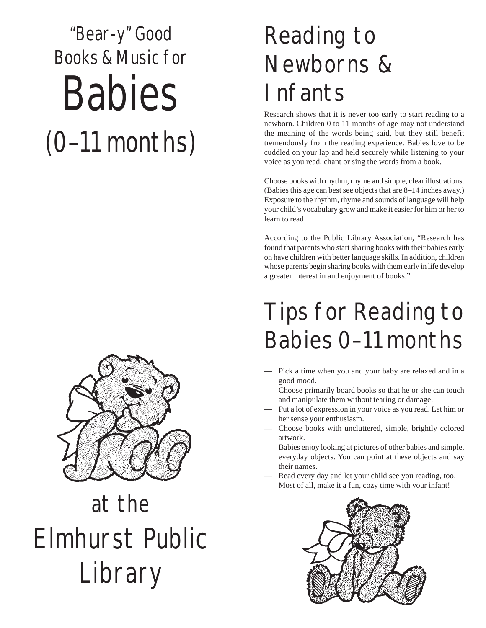# "Bear-y" Good Books & Music for Babies (0–11 months)



# at the Elmhurst Public Library

## Reading to Newborns & **Infants**

Research shows that it is never too early to start reading to a newborn. Children 0 to 11 months of age may not understand the meaning of the words being said, but they still benefit tremendously from the reading experience. Babies love to be cuddled on your lap and held securely while listening to your voice as you read, chant or sing the words from a book.

Choose books with rhythm, rhyme and simple, clear illustrations. (Babies this age can best see objects that are 8–14 inches away.) Exposure to the rhythm, rhyme and sounds of language will help your child's vocabulary grow and make it easier for him or her to learn to read.

According to the Public Library Association, "Research has found that parents who start sharing books with their babies early on have children with better language skills. In addition, children whose parents begin sharing books with them early in life develop a greater interest in and enjoyment of books."

## Tips for Reading to Babies 0–11 months

- Pick a time when you and your baby are relaxed and in a good mood.
- Choose primarily board books so that he or she can touch and manipulate them without tearing or damage.
- Put a lot of expression in your voice as you read. Let him or her sense your enthusiasm.
- Choose books with uncluttered, simple, brightly colored artwork.
- Babies enjoy looking at pictures of other babies and simple, everyday objects. You can point at these objects and say their names.
- Read every day and let your child see you reading, too.
- Most of all, make it a fun, cozy time with your infant!